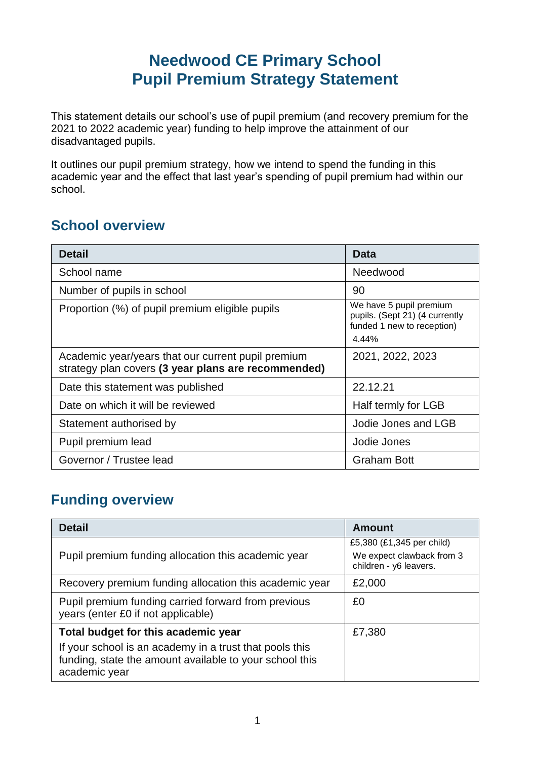## **Needwood CE Primary School Pupil Premium Strategy Statement**

This statement details our school's use of pupil premium (and recovery premium for the 2021 to 2022 academic year) funding to help improve the attainment of our disadvantaged pupils.

It outlines our pupil premium strategy, how we intend to spend the funding in this academic year and the effect that last year's spending of pupil premium had within our school.

### **School overview**

| <b>Detail</b>                                                                                             | Data                                                                                             |
|-----------------------------------------------------------------------------------------------------------|--------------------------------------------------------------------------------------------------|
| School name                                                                                               | Needwood                                                                                         |
| Number of pupils in school                                                                                | 90                                                                                               |
| Proportion (%) of pupil premium eligible pupils                                                           | We have 5 pupil premium<br>pupils. (Sept 21) (4 currently<br>funded 1 new to reception)<br>4.44% |
| Academic year/years that our current pupil premium<br>strategy plan covers (3 year plans are recommended) | 2021, 2022, 2023                                                                                 |
| Date this statement was published                                                                         | 22.12.21                                                                                         |
| Date on which it will be reviewed                                                                         | Half termly for LGB                                                                              |
| Statement authorised by                                                                                   | Jodie Jones and LGB                                                                              |
| Pupil premium lead                                                                                        | Jodie Jones                                                                                      |
| Governor / Trustee lead                                                                                   | <b>Graham Bott</b>                                                                               |

### **Funding overview**

| <b>Detail</b>                                                                                                                                                              | <b>Amount</b>                                                                    |
|----------------------------------------------------------------------------------------------------------------------------------------------------------------------------|----------------------------------------------------------------------------------|
| Pupil premium funding allocation this academic year                                                                                                                        | £5,380 (£1,345 per child)<br>We expect clawback from 3<br>children - y6 leavers. |
| Recovery premium funding allocation this academic year                                                                                                                     | £2,000                                                                           |
| Pupil premium funding carried forward from previous<br>years (enter £0 if not applicable)                                                                                  | £0                                                                               |
| Total budget for this academic year<br>If your school is an academy in a trust that pools this<br>funding, state the amount available to your school this<br>academic year | £7,380                                                                           |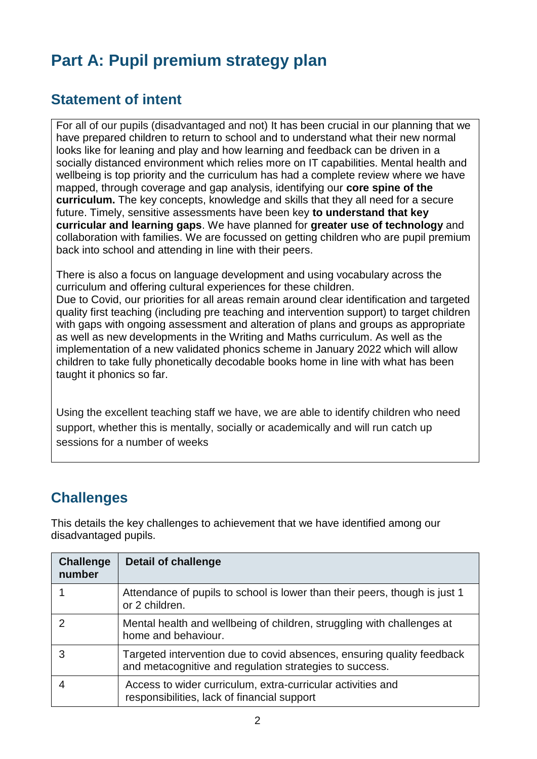# **Part A: Pupil premium strategy plan**

## **Statement of intent**

For all of our pupils (disadvantaged and not) It has been crucial in our planning that we have prepared children to return to school and to understand what their new normal looks like for leaning and play and how learning and feedback can be driven in a socially distanced environment which relies more on IT capabilities. Mental health and wellbeing is top priority and the curriculum has had a complete review where we have mapped, through coverage and gap analysis, identifying our **core spine of the curriculum.** The key concepts, knowledge and skills that they all need for a secure future. Timely, sensitive assessments have been key **to understand that key curricular and learning gaps**. We have planned for **greater use of technology** and collaboration with families. We are focussed on getting children who are pupil premium back into school and attending in line with their peers.

There is also a focus on language development and using vocabulary across the curriculum and offering cultural experiences for these children.

Due to Covid, our priorities for all areas remain around clear identification and targeted quality first teaching (including pre teaching and intervention support) to target children with gaps with ongoing assessment and alteration of plans and groups as appropriate as well as new developments in the Writing and Maths curriculum. As well as the implementation of a new validated phonics scheme in January 2022 which will allow children to take fully phonetically decodable books home in line with what has been taught it phonics so far.

Using the excellent teaching staff we have, we are able to identify children who need support, whether this is mentally, socially or academically and will run catch up sessions for a number of weeks

## **Challenges**

This details the key challenges to achievement that we have identified among our disadvantaged pupils.

| <b>Challenge</b><br>number | <b>Detail of challenge</b>                                                                                                        |
|----------------------------|-----------------------------------------------------------------------------------------------------------------------------------|
|                            | Attendance of pupils to school is lower than their peers, though is just 1<br>or 2 children.                                      |
| っ                          | Mental health and wellbeing of children, struggling with challenges at<br>home and behaviour.                                     |
| 3                          | Targeted intervention due to covid absences, ensuring quality feedback<br>and metacognitive and regulation strategies to success. |
|                            | Access to wider curriculum, extra-curricular activities and<br>responsibilities, lack of financial support                        |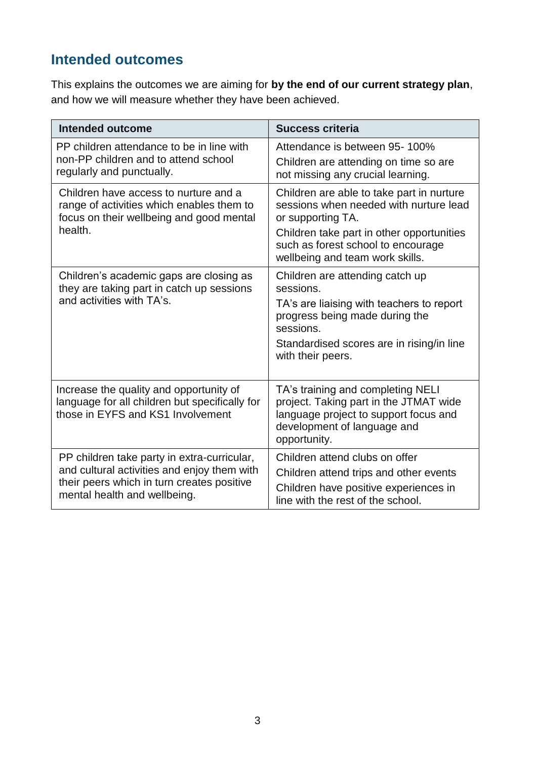## **Intended outcomes**

This explains the outcomes we are aiming for **by the end of our current strategy plan**, and how we will measure whether they have been achieved.

| <b>Intended outcome</b>                                                                                                                                                  | <b>Success criteria</b>                                                                                                                                             |
|--------------------------------------------------------------------------------------------------------------------------------------------------------------------------|---------------------------------------------------------------------------------------------------------------------------------------------------------------------|
| PP children attendance to be in line with<br>non-PP children and to attend school<br>regularly and punctually.                                                           | Attendance is between 95-100%<br>Children are attending on time so are<br>not missing any crucial learning.                                                         |
| Children have access to nurture and a<br>range of activities which enables them to<br>focus on their wellbeing and good mental                                           | Children are able to take part in nurture<br>sessions when needed with nurture lead<br>or supporting TA.                                                            |
| health.                                                                                                                                                                  | Children take part in other opportunities<br>such as forest school to encourage<br>wellbeing and team work skills.                                                  |
| Children's academic gaps are closing as<br>they are taking part in catch up sessions<br>and activities with TA's.                                                        | Children are attending catch up<br>sessions.<br>TA's are liaising with teachers to report<br>progress being made during the<br>sessions.                            |
|                                                                                                                                                                          | Standardised scores are in rising/in line<br>with their peers.                                                                                                      |
| Increase the quality and opportunity of<br>language for all children but specifically for<br>those in EYFS and KS1 Involvement                                           | TA's training and completing NELI<br>project. Taking part in the JTMAT wide<br>language project to support focus and<br>development of language and<br>opportunity. |
| PP children take party in extra-curricular,<br>and cultural activities and enjoy them with<br>their peers which in turn creates positive<br>mental health and wellbeing. | Children attend clubs on offer<br>Children attend trips and other events<br>Children have positive experiences in<br>line with the rest of the school.              |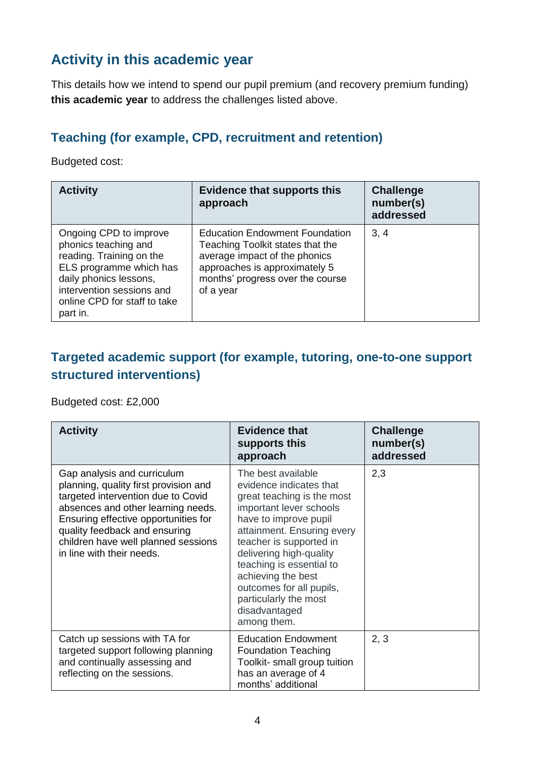## **Activity in this academic year**

This details how we intend to spend our pupil premium (and recovery premium funding) **this academic year** to address the challenges listed above.

#### **Teaching (for example, CPD, recruitment and retention)**

Budgeted cost:

| <b>Activity</b>                                                                                                                                                                                          | <b>Evidence that supports this</b><br>approach                                                                                                                                               | <b>Challenge</b><br>number(s)<br>addressed |
|----------------------------------------------------------------------------------------------------------------------------------------------------------------------------------------------------------|----------------------------------------------------------------------------------------------------------------------------------------------------------------------------------------------|--------------------------------------------|
| Ongoing CPD to improve<br>phonics teaching and<br>reading. Training on the<br>ELS programme which has<br>daily phonics lessons,<br>intervention sessions and<br>online CPD for staff to take<br>part in. | <b>Education Endowment Foundation</b><br>Teaching Toolkit states that the<br>average impact of the phonics<br>approaches is approximately 5<br>months' progress over the course<br>of a year | 3, 4                                       |

#### **Targeted academic support (for example, tutoring, one-to-one support structured interventions)**

Budgeted cost: £2,000

| <b>Activity</b>                                                                                                                                                                                                                                                                               | <b>Evidence that</b><br>supports this<br>approach                                                                                                                                                                                                                                                                                                          | <b>Challenge</b><br>number(s)<br>addressed |
|-----------------------------------------------------------------------------------------------------------------------------------------------------------------------------------------------------------------------------------------------------------------------------------------------|------------------------------------------------------------------------------------------------------------------------------------------------------------------------------------------------------------------------------------------------------------------------------------------------------------------------------------------------------------|--------------------------------------------|
| Gap analysis and curriculum<br>planning, quality first provision and<br>targeted intervention due to Covid<br>absences and other learning needs.<br>Ensuring effective opportunities for<br>quality feedback and ensuring<br>children have well planned sessions<br>in line with their needs. | The best available<br>evidence indicates that<br>great teaching is the most<br>important lever schools<br>have to improve pupil<br>attainment. Ensuring every<br>teacher is supported in<br>delivering high-quality<br>teaching is essential to<br>achieving the best<br>outcomes for all pupils,<br>particularly the most<br>disadvantaged<br>among them. | 2,3                                        |
| Catch up sessions with TA for<br>targeted support following planning<br>and continually assessing and<br>reflecting on the sessions.                                                                                                                                                          | <b>Education Endowment</b><br><b>Foundation Teaching</b><br>Toolkit- small group tuition<br>has an average of 4<br>months' additional                                                                                                                                                                                                                      | 2, 3                                       |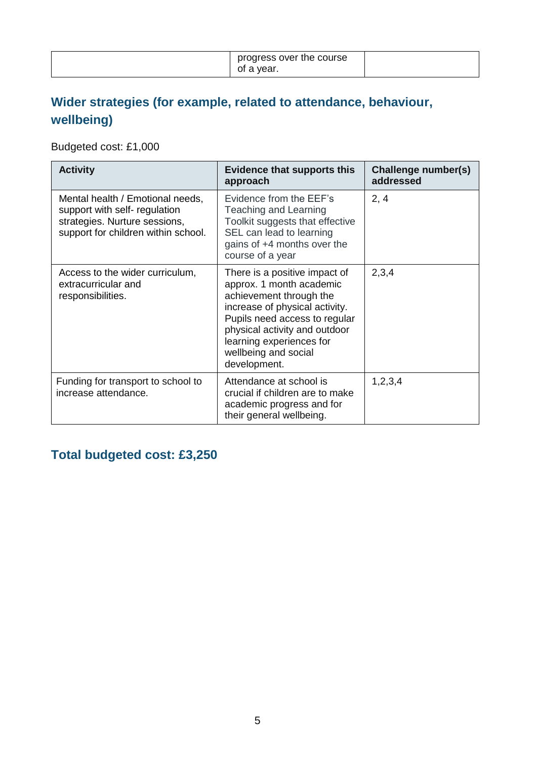|  | progress over the course<br>of a year. |  |
|--|----------------------------------------|--|
|--|----------------------------------------|--|

## **Wider strategies (for example, related to attendance, behaviour, wellbeing)**

Budgeted cost: £1,000

| <b>Activity</b>                                                                                                                           | <b>Evidence that supports this</b><br>approach                                                                                                                                                                                                               | Challenge number(s)<br>addressed |
|-------------------------------------------------------------------------------------------------------------------------------------------|--------------------------------------------------------------------------------------------------------------------------------------------------------------------------------------------------------------------------------------------------------------|----------------------------------|
| Mental health / Emotional needs,<br>support with self- regulation<br>strategies. Nurture sessions,<br>support for children within school. | Evidence from the EEF's<br>Teaching and Learning<br>Toolkit suggests that effective<br>SEL can lead to learning<br>gains of +4 months over the<br>course of a year                                                                                           | 2, 4                             |
| Access to the wider curriculum,<br>extracurricular and<br>responsibilities.                                                               | There is a positive impact of<br>approx. 1 month academic<br>achievement through the<br>increase of physical activity.<br>Pupils need access to regular<br>physical activity and outdoor<br>learning experiences for<br>wellbeing and social<br>development. | 2,3,4                            |
| Funding for transport to school to<br>increase attendance.                                                                                | Attendance at school is<br>crucial if children are to make<br>academic progress and for<br>their general wellbeing.                                                                                                                                          | 1,2,3,4                          |

## **Total budgeted cost: £3,250**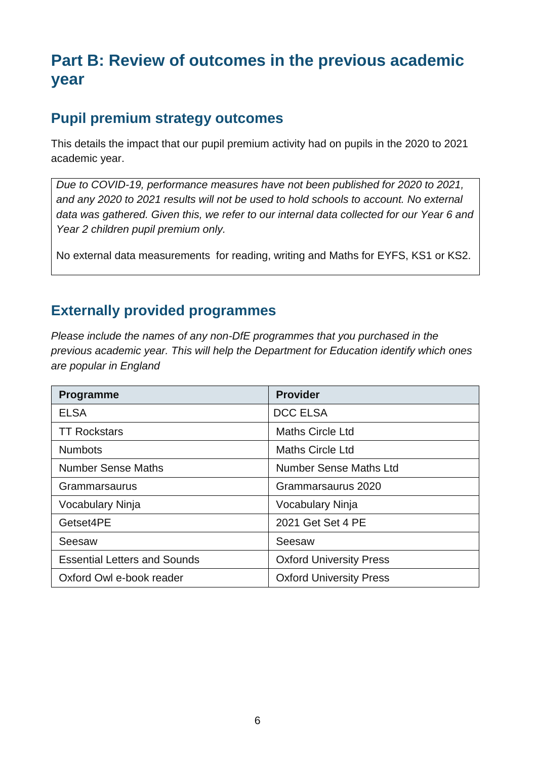## **Part B: Review of outcomes in the previous academic year**

## **Pupil premium strategy outcomes**

This details the impact that our pupil premium activity had on pupils in the 2020 to 2021 academic year.

*Due to COVID-19, performance measures have not been published for 2020 to 2021, and any 2020 to 2021 results will not be used to hold schools to account. No external data was gathered. Given this, we refer to our internal data collected for our Year 6 and Year 2 children pupil premium only.* 

No external data measurements for reading, writing and Maths for EYFS, KS1 or KS2.

#### **Externally provided programmes**

*Please include the names of any non-DfE programmes that you purchased in the previous academic year. This will help the Department for Education identify which ones are popular in England*

| <b>Programme</b>                    | <b>Provider</b>                |
|-------------------------------------|--------------------------------|
| <b>ELSA</b>                         | <b>DCC ELSA</b>                |
| <b>TT Rockstars</b>                 | <b>Maths Circle Ltd</b>        |
| <b>Numbots</b>                      | <b>Maths Circle Ltd</b>        |
| <b>Number Sense Maths</b>           | <b>Number Sense Maths Ltd</b>  |
| Grammarsaurus                       | Grammarsaurus 2020             |
| Vocabulary Ninja                    | <b>Vocabulary Ninja</b>        |
| Getset4PE                           | 2021 Get Set 4 PE              |
| Seesaw                              | Seesaw                         |
| <b>Essential Letters and Sounds</b> | <b>Oxford University Press</b> |
| Oxford Owl e-book reader            | <b>Oxford University Press</b> |